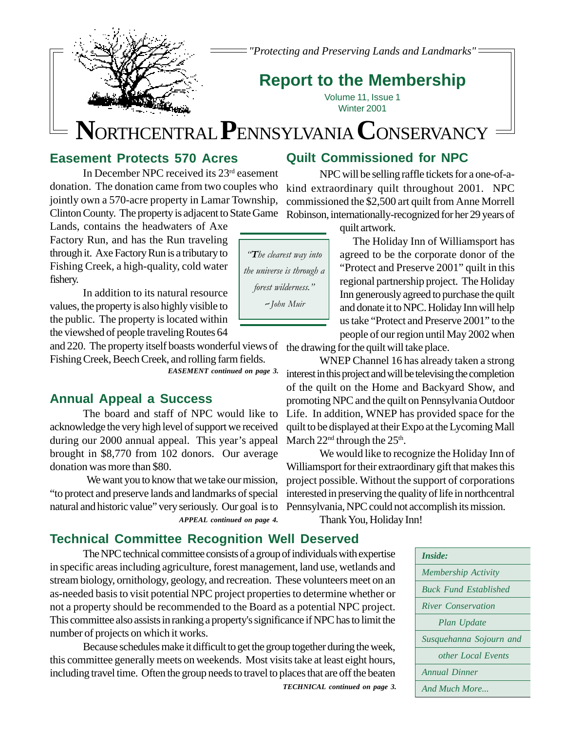*"Protecting and Preserving Lands and Landmarks"*

# **Report to the Membership**

Volume 11, Issue 1 Winter 2001

# **N** ORTHCENTRAL **P**ENNSYLVANIA **C**ONSERVANCY

# **Easement Protects 570 Acres**

In December NPC received its 23rd easement donation. The donation came from two couples who jointly own a 570-acre property in Lamar Township, Clinton County. The property is adjacent to State Game

Lands, contains the headwaters of Axe Factory Run, and has the Run traveling through it. Axe Factory Run is a tributary to Fishing Creek, a high-quality, cold water fishery.

In addition to its natural resource values, the property is also highly visible to the public. The property is located within the viewshed of people traveling Routes 64

and 220. The property itself boasts wonderful views of the drawing for the quilt will take place. Fishing Creek, Beech Creek, and rolling farm fields.

*EASEMENT continued on page 3.*

# **Annual Appeal a Success**

The board and staff of NPC would like to acknowledge the very high level of support we received during our 2000 annual appeal. This year's appeal brought in \$8,770 from 102 donors. Our average donation was more than \$80.

 We want you to know that we take our mission, "to protect and preserve lands and landmarks of special natural and historic value" very seriously. Our goal is to

The Holiday Inn of Williamsport has agreed to be the corporate donor of the "Protect and Preserve 2001" quilt in this regional partnership project. The Holiday Inn generously agreed to purchase the quilt and donate it to NPC. Holiday Inn will help us take "Protect and Preserve 2001" to the people of our region until May 2002 when

WNEP Channel 16 has already taken a strong interest in this project and will be televising the completion of the quilt on the Home and Backyard Show, and promoting NPC and the quilt on Pennsylvania Outdoor Life. In addition, WNEP has provided space for the quilt to be displayed at their Expo at the Lycoming Mall March  $22<sup>nd</sup>$  through the  $25<sup>th</sup>$ .

We would like to recognize the Holiday Inn of Williamsport for their extraordinary gift that makes this project possible. Without the support of corporations interested in preserving the quality of life in northcentral Pennsylvania, NPC could not accomplish its mission.

*APPEAL continued on page 4.* Thank You, Holiday Inn!

# **Technical Committee Recognition Well Deserved**

The NPC technical committee consists of a group of individuals with expertise in specific areas including agriculture, forest management, land use, wetlands and stream biology, ornithology, geology, and recreation. These volunteers meet on an as-needed basis to visit potential NPC project properties to determine whether or not a property should be recommended to the Board as a potential NPC project. This committee also assists in ranking a property's significance if NPC has to limit the number of projects on which it works.

*TECHNICAL continued on page 3.* Because schedules make it difficult to get the group together during the week, this committee generally meets on weekends. Most visits take at least eight hours, including travel time. Often the group needs to travel to places that are off the beaten

**Quilt Commissioned for NPC** NPC will be selling raffle tickets for a one-of-a-

kind extraordinary quilt throughout 2001. NPC commissioned the \$2,500 art quilt from Anne Morrell

Robinson, internationally-recognized for her 29 years of quilt artwork.

| Inside:                      |
|------------------------------|
| Membership Activity          |
| <b>Buck Fund Established</b> |
| River Conservation           |
| Plan Update                  |
| Susquehanna Sojourn and      |
| other Local Events           |
| <b>Annual Dinner</b>         |
| And Much More                |

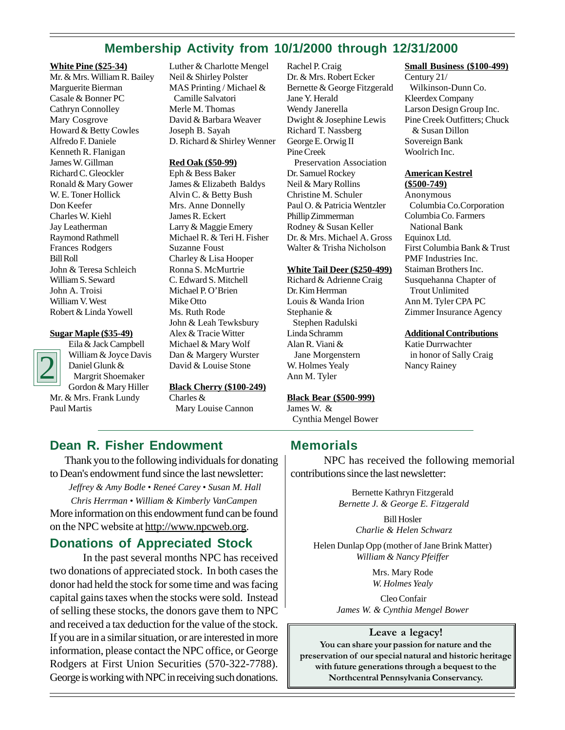# **Membership Activity from 10/1/2000 through 12/31/2000**

## **White Pine (\$25-34)**

Mr. & Mrs. William R. Bailey Marguerite Bierman Casale & Bonner PC Cathryn Connolley Mary Cosgrove Howard & Betty Cowles Alfredo F. Daniele Kenneth R. Flanigan James W. Gillman Richard C. Gleockler Ronald & Mary Gower W. E. Toner Hollick Don Keefer Charles W. Kiehl Jay Leatherman Raymond Rathmell Frances Rodgers Bill Roll John & Teresa Schleich William S. Seward John A. Troisi William V. West Robert & Linda Yowell

#### **Sugar Maple (\$35-49)**



Eila & Jack Campbell William & Joyce Davis Daniel Glunk & Margrit Shoemaker Gordon & Mary Hiller Mr. & Mrs. Frank Lundy Paul Martis

Luther & Charlotte Mengel Neil & Shirley Polster MAS Printing / Michael & Camille Salvatori Merle M. Thomas David & Barbara Weaver Joseph B. Sayah D. Richard & Shirley Wenner

## **Red Oak (\$50-99)**

Eph & Bess Baker James & Elizabeth Baldys Alvin C. & Betty Bush Mrs. Anne Donnelly James R. Eckert Larry & Maggie Emery Michael R. & Teri H. Fisher Suzanne Foust Charley & Lisa Hooper Ronna S. McMurtrie C. Edward S. Mitchell Michael P. O'Brien Mike Otto Ms. Ruth Rode John & Leah Tewksbury Alex & Tracie Witter Michael & Mary Wolf Dan & Margery Wurster David & Louise Stone

**Black Cherry (\$100-249)** Charles & Mary Louise Cannon

Rachel P. Craig Dr. & Mrs. Robert Ecker Bernette & George Fitzgerald Jane Y. Herald Wendy Janerella Dwight & Josephine Lewis Richard T. Nassberg George E. Orwig II Pine Creek Preservation Association Dr. Samuel Rockey Neil & Mary Rollins Christine M. Schuler Paul O. & Patricia Wentzler Phillip Zimmerman Rodney & Susan Keller Dr. & Mrs. Michael A. Gross Walter & Trisha Nicholson

#### **White Tail Deer (\$250-499)**

Richard & Adrienne Craig Dr. Kim Herrman Louis & Wanda Irion Stephanie & Stephen Radulski Linda Schramm Alan R. Viani & Jane Morgenstern W. Holmes Yealy Ann M. Tyler

### **Black Bear (\$500-999)**

James W. & Cynthia Mengel Bower

# **Small Business (\$100-499)**

Century 21/ Wilkinson-Dunn Co. Kleerdex Company Larson Design Group Inc. Pine Creek Outfitters; Chuck & Susan Dillon Sovereign Bank Woolrich Inc.

#### **American Kestrel (\$500-749)**

Anonymous Columbia Co.Corporation Columbia Co. Farmers National Bank Equinox Ltd. First Columbia Bank & Trust PMF Industries Inc. Staiman Brothers Inc. Susquehanna Chapter of Trout Unlimited Ann M. Tyler CPA PC Zimmer Insurance Agency

#### **Additional Contributions**

Katie Durrwachter in honor of Sally Craig Nancy Rainey

## **Dean R. Fisher Endowment**

 Thank you to the following individuals for donating to Dean's endowment fund since the last newsletter:

*Jeffrey & Amy Bodle • Reneé Carey • Susan M. Hall Chris Herrman • William & Kimberly VanCampen* More information on this endowment fund can be found on the NPC website at http://www.npcweb.org.

# **Donations of Appreciated Stock**

In the past several months NPC has received two donations of appreciated stock. In both cases the donor had held the stock for some time and was facing capital gains taxes when the stocks were sold. Instead of selling these stocks, the donors gave them to NPC and received a tax deduction for the value of the stock. If you are in a similar situation, or are interested in more information, please contact the NPC office, or George Rodgers at First Union Securities (570-322-7788). George is working with NPC in receiving such donations.

# **Memorials**

NPC has received the following memorial contributions since the last newsletter:

> Bernette Kathryn Fitzgerald *Bernette J. & George E. Fitzgerald*

> > Bill Hosler *Charlie & Helen Schwarz*

Helen Dunlap Opp (mother of Jane Brink Matter) *William & Nancy Pfeiffer*

> Mrs. Mary Rode *W. Holmes Yealy*

 Cleo Confair *James W. & Cynthia Mengel Bower*

## **Leave a legacy!**

**You can share your passion for nature and the preservation of our special natural and historic heritage with future generations through a bequest to the Northcentral Pennsylvania Conservancy.**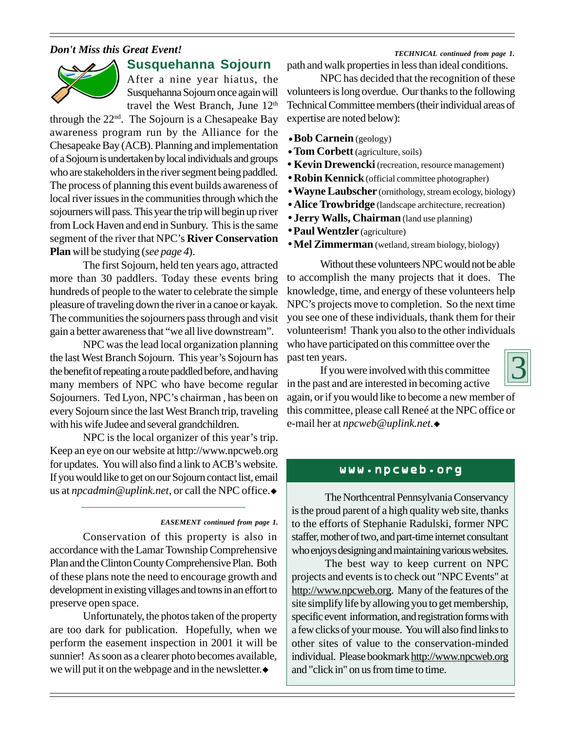## *Don't Miss this Great Event!*



## **Susquehanna Sojourn**

After a nine year hiatus, the Susquehanna Sojourn once again will travel the West Branch, June 12<sup>th</sup>

through the  $22<sup>nd</sup>$ . The Sojourn is a Chesapeake Bay awareness program run by the Alliance for the Chesapeake Bay (ACB). Planning and implementation of a Sojourn is undertaken by local individuals and groups who are stakeholders in the river segment being paddled. The process of planning this event builds awareness of local river issues in the communities through which the sojourners will pass. This year the trip will begin up river from Lock Haven and end in Sunbury. This is the same segment of the river that NPC's **River Conservation Plan** will be studying (*see page 4*).

The first Sojourn, held ten years ago, attracted more than 30 paddlers. Today these events bring hundreds of people to the water to celebrate the simple pleasure of traveling down the river in a canoe or kayak. The communities the sojourners pass through and visit gain a better awareness that "we all live downstream".

NPC was the lead local organization planning the last West Branch Sojourn. This year's Sojourn has the benefit of repeating a route paddled before, and having many members of NPC who have become regular Sojourners. Ted Lyon, NPC's chairman , has been on every Sojourn since the last West Branch trip, traveling with his wife Judee and several grandchildren.

NPC is the local organizer of this year's trip. Keep an eye on our website at http://www.npcweb.org for updates. You will also find a link to ACB's website. If you would like to get on our Sojourn contact list, email us at *npcadmin@uplink.net*, or call the NPC office. The Northcentral Pennsylvania Conservancy

#### *EASEMENT continued from page 1.*

Conservation of this property is also in accordance with the Lamar Township Comprehensive Plan and the Clinton County Comprehensive Plan. Both of these plans note the need to encourage growth and development in existing villages and towns in an effort to preserve open space.

Unfortunately, the photos taken of the property are too dark for publication. Hopefully, when we perform the easement inspection in 2001 it will be sunnier! As soon as a clearer photo becomes available, we will put it on the webpage and in the newsletter. $\bullet$ 

path and walk properties in less than ideal conditions. *TECHNICAL continued from page 1.*

NPC has decided that the recognition of these volunteers is long overdue. Our thanks to the following Technical Committee members (their individual areas of expertise are noted below):

- **Bob Carnein** (geology)
- **Tom Corbett** (agriculture, soils)
- **Kevin Drewencki** (recreation, resource management)
- **Robin Kennick** (official committee photographer)
- Wayne Laubscher (ornithology, stream ecology, biology)
- **Alice Trowbridge** (landscape architecture, recreation)
- **Jerry Walls, Chairman** (land use planning)
- **Paul Wentzler** (agriculture)
- $\bullet$  Mel Zimmerman (wetland, stream biology, biology)

Without these volunteers NPC would not be able to accomplish the many projects that it does. The knowledge, time, and energy of these volunteers help NPC's projects move to completion. So the next time you see one of these individuals, thank them for their volunteerism! Thank you also to the other individuals who have participated on this committee over the past ten years.

If you were involved with this committee in the past and are interested in becoming active

again, or if you would like to become a new member of this committee, please call Reneé at the NPC office or e-mail her at *npcweb@uplink.net*.◆

## www.npcweb.org

is the proud parent of a high quality web site, thanks to the efforts of Stephanie Radulski, former NPC staffer, mother of two, and part-time internet consultant who enjoys designing and maintaining various websites.

The best way to keep current on NPC projects and events is to check out "NPC Events" at http://www.npcweb.org. Many of the features of the site simplify life by allowing you to get membership, specific event information, and registration forms with a few clicks of your mouse. You will also find links to other sites of value to the conservation-minded individual. Please bookmark http://www.npcweb.org and "click in" on us from time to time.

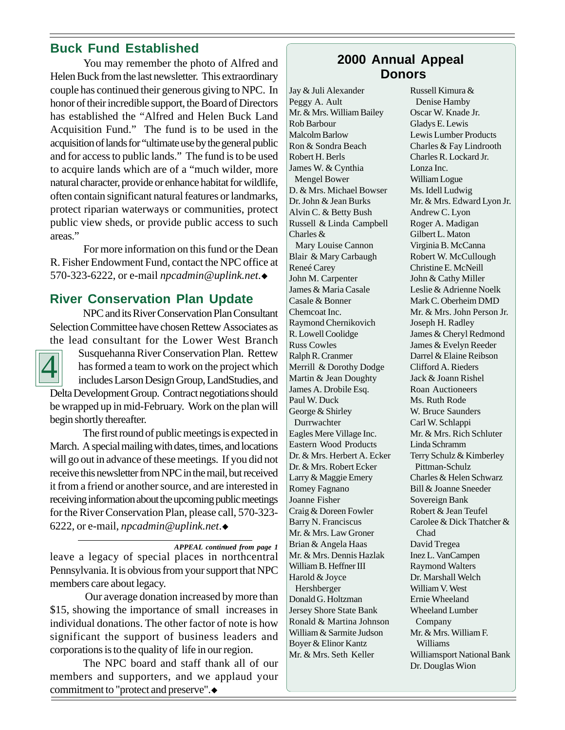# **Buck Fund Established**

You may remember the photo of Alfred and Helen Buck from the last newsletter. This extraordinary couple has continued their generous giving to NPC. In honor of their incredible support, the Board of Directors has established the "Alfred and Helen Buck Land Acquisition Fund." The fund is to be used in the acquisition of lands for "ultimate use by the general public and for access to public lands." The fund is to be used to acquire lands which are of a "much wilder, more natural character, provide or enhance habitat for wildlife, often contain significant natural features or landmarks, protect riparian waterways or communities, protect public view sheds, or provide public access to such areas."

For more information on this fund or the Dean R. Fisher Endowment Fund, contact the NPC office at 570-323-6222, or e-mail *npcadmin@uplink.net.*◆

# **River Conservation Plan Update**

NPC and its River Conservation Plan Consultant Selection Committee have chosen Rettew Associates as the lead consultant for the Lower West Branch



Susquehanna River Conservation Plan. Rettew has formed a team to work on the project which includes Larson Design Group, LandStudies, and Delta Development Group. Contract negotiations should

be wrapped up in mid-February. Work on the plan will begin shortly thereafter.

The first round of public meetings is expected in March. A special mailing with dates, times, and locations will go out in advance of these meetings. If you did not receive this newsletter from NPC in the mail, but received it from a friend or another source, and are interested in receiving information about the upcoming public meetings for the River Conservation Plan, please call, 570-323- 6222, or e-mail, *npcadmin* @uplink.net.◆

*APPEAL continued from page 1*

leave a legacy of special places in northcentral Pennsylvania. It is obvious from your support that NPC members care about legacy.

 Our average donation increased by more than \$15, showing the importance of small increases in individual donations. The other factor of note is how significant the support of business leaders and corporations is to the quality of life in our region.

The NPC board and staff thank all of our members and supporters, and we applaud your commitment to "protect and preserve". $\bullet$ 

# **2000 Annual Appeal Donors**

Jay & Juli Alexander Peggy A. Ault Mr. & Mrs. William Bailey Rob Barbour Malcolm Barlow Ron & Sondra Beach Robert H. Berls James W. & Cynthia Mengel Bower D. & Mrs. Michael Bowser Dr. John & Jean Burks Alvin C. & Betty Bush Russell & Linda Campbell Charles & Mary Louise Cannon Blair & Mary Carbaugh Reneé Carey John M. Carpenter James & Maria Casale Casale & Bonner Chemcoat Inc. Raymond Chernikovich R. Lowell Coolidge Russ Cowles Ralph R. Cranmer Merrill & Dorothy Dodge Martin & Jean Doughty James A. Drobile Esq. Paul W. Duck George & Shirley Durrwachter Eagles Mere Village Inc. Eastern Wood Products Dr. & Mrs. Herbert A. Ecker Dr. & Mrs. Robert Ecker Larry & Maggie Emery Romey Fagnano Joanne Fisher Craig & Doreen Fowler Barry N. Franciscus Mr. & Mrs. Law Groner Brian & Angela Haas Mr. & Mrs. Dennis Hazlak William B. Heffner III Harold & Joyce Hershberger Donald G. Holtzman Jersey Shore State Bank Ronald & Martina Johnson William & Sarmite Judson Boyer & Elinor Kantz Mr. & Mrs. Seth Keller

Russell Kimura & Denise Hamby Oscar W. Knade Jr. Gladys E. Lewis Lewis Lumber Products Charles & Fay Lindrooth Charles R. Lockard Jr. Lonza Inc. William Logue Ms. Idell Ludwig Mr. & Mrs. Edward Lyon Jr. Andrew C. Lyon Roger A. Madigan Gilbert L. Maton Virginia B. McCanna Robert W. McCullough Christine E. McNeill John & Cathy Miller Leslie & Adrienne Noelk Mark C. Oberheim DMD Mr. & Mrs. John Person Jr. Joseph H. Radley James & Cheryl Redmond James & Evelyn Reeder Darrel & Elaine Reibson Clifford A. Rieders Jack & Joann Rishel Roan Auctioneers Ms. Ruth Rode W. Bruce Saunders Carl W. Schlappi Mr. & Mrs. Rich Schluter Linda Schramm Terry Schulz & Kimberley Pittman-Schulz Charles & Helen Schwarz Bill & Joanne Sneeder Sovereign Bank Robert & Jean Teufel Carolee & Dick Thatcher & Chad David Tregea Inez L. VanCampen Raymond Walters Dr. Marshall Welch William V. West Ernie Wheeland Wheeland Lumber Company Mr. & Mrs. William F. Williams Williamsport National Bank Dr. Douglas Wion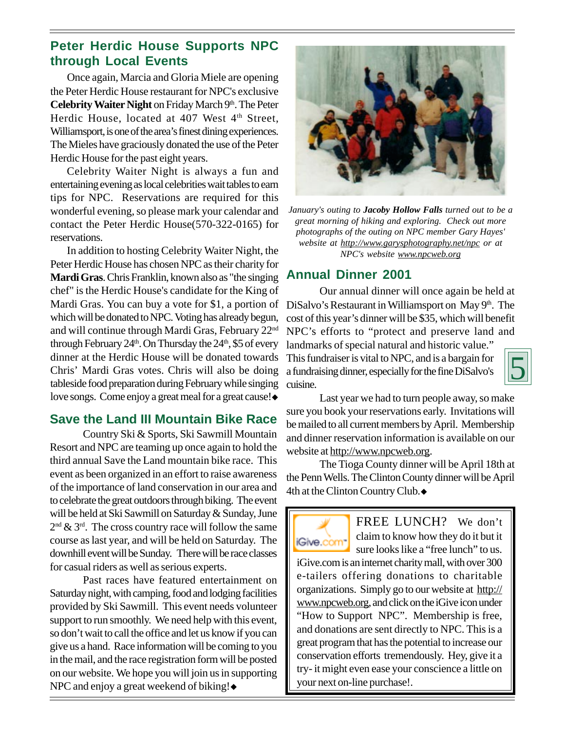# **Peter Herdic House Supports NPC through Local Events**

Once again, Marcia and Gloria Miele are opening the Peter Herdic House restaurant for NPC's exclusive **Celebrity Waiter Night** on Friday March 9th. The Peter Herdic House, located at 407 West 4<sup>th</sup> Street, Williamsport, is one of the area's finest dining experiences. The Mieles have graciously donated the use of the Peter Herdic House for the past eight years.

Celebrity Waiter Night is always a fun and entertaining evening as local celebrities wait tables to earn tips for NPC. Reservations are required for this wonderful evening, so please mark your calendar and contact the Peter Herdic House(570-322-0165) for reservations.

In addition to hosting Celebrity Waiter Night, the Peter Herdic House has chosen NPC as their charity for **Mardi Gras**. Chris Franklin, known also as "the singing chef" is the Herdic House's candidate for the King of Mardi Gras. You can buy a vote for \$1, a portion of which will be donated to NPC. Voting has already begun, and will continue through Mardi Gras, February 22<sup>nd</sup> through February  $24<sup>th</sup>$ . On Thursday the  $24<sup>th</sup>$ , \$5 of every dinner at the Herdic House will be donated towards Chris' Mardi Gras votes. Chris will also be doing tableside food preparation during February while singing love songs. Come enjoy a great meal for a great cause! $\bullet$ 

# **Save the Land III Mountain Bike Race**

Country Ski & Sports, Ski Sawmill Mountain Resort and NPC are teaming up once again to hold the third annual Save the Land mountain bike race. This event as been organized in an effort to raise awareness of the importance of land conservation in our area and to celebrate the great outdoors through biking. The event will be held at Ski Sawmill on Saturday & Sunday, June  $2<sup>nd</sup>$  &  $3<sup>rd</sup>$ . The cross country race will follow the same course as last year, and will be held on Saturday. The downhill event will be Sunday. There will be race classes for casual riders as well as serious experts.

Past races have featured entertainment on Saturday night, with camping, food and lodging facilities provided by Ski Sawmill. This event needs volunteer support to run smoothly. We need help with this event, so don't wait to call the office and let us know if you can give us a hand. Race information will be coming to you in the mail, and the race registration form will be posted on our website. We hope you will join us in supporting NPC and enjoy a great weekend of biking! $\bullet$ 



*January's outing to Jacoby Hollow Falls turned out to be a great morning of hiking and exploring. Check out more photographs of the outing on NPC member Gary Hayes' website at http://www.garysphotography.net/npc or at NPC's website www.npcweb.org*

# **Annual Dinner 2001**

Our annual dinner will once again be held at DiSalvo's Restaurant in Williamsport on May 9<sup>th</sup>. The cost of this year's dinner will be \$35, which will benefit NPC's efforts to "protect and preserve land and

landmarks of special natural and historic value." This fundraiser is vital to NPC, and is a bargain for a fundraising dinner, especially for the fine DiSalvo's cuisine.



Last year we had to turn people away, so make sure you book your reservations early. Invitations will be mailed to all current members by April. Membership and dinner reservation information is available on our website at http://www.npcweb.org.

The Tioga County dinner will be April 18th at the Penn Wells. The Clinton County dinner will be April 4th at the Clinton Country Club. $\bullet$ 

FREE LUNCH? We don't claim to know how they do it but it iGive.com<sup>-</sup> sure looks like a "free lunch" to us. iGive.com is an internet charity mall, with over 300 e-tailers offering donations to charitable organizations. Simply go to our website at http:// www.npcweb.org, and click on the iGive icon under "How to Support NPC". Membership is free, and donations are sent directly to NPC. This is a great program that has the potential to increase our conservation efforts tremendously. Hey, give it a try- it might even ease your conscience a little on your next on-line purchase!.